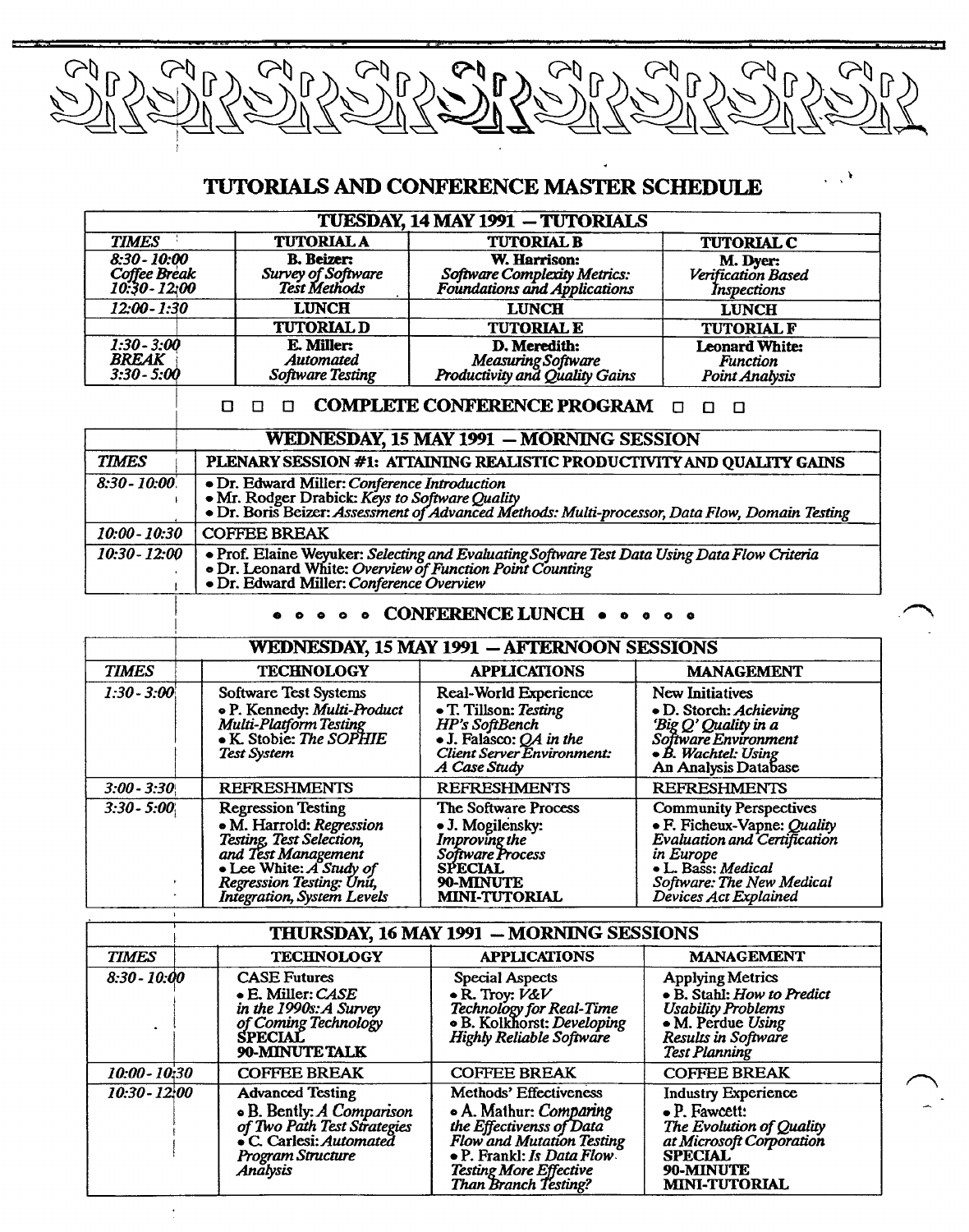

# **TUTORIALS AND CONFERENCE MASTER SCHEDULE**

 $\mathcal{L}^{\mathcal{A}}$ 

|                                                 |                                                         | <b>TUESDAY, 14 MAY 1991 - TUTORIALS</b>                                      |                                                            |
|-------------------------------------------------|---------------------------------------------------------|------------------------------------------------------------------------------|------------------------------------------------------------|
| <b>TIMES</b>                                    | <b>TUTORIAL A</b>                                       | <b>TUTORIAL B</b>                                                            | <b>TUTORIAL C</b>                                          |
| $8:30 - 10:00$<br>Coffee Break<br>10:30 - 12:00 | <b>B.</b> Beizer:<br>Survey of Software<br>Test Methods | W. Harrison:<br>Software Complexity Metrics:<br>Foundations and Applications | M. Dyer:<br>Verification Based<br>Inspections              |
| $12:00 - 1:30$                                  | <b>LUNCH</b>                                            | <b>LUNCH</b>                                                                 | <b>LUNCH</b>                                               |
|                                                 | <b>TUTORIAL D</b>                                       | <b>TUTORIAL E</b>                                                            | <b>TUTORIAL F</b>                                          |
| $1:30 - 3:00$<br><b>BREAK</b><br>$3:30 - 5:00$  | E. Miller:<br>Automated<br><b>Software Testing</b>      | D. Meredith:<br>Measuring Software<br>Productivity and Quality Gains         | <b>Leonard White:</b><br><b>Function</b><br>Point Analysis |

## ❑ ❑ ❑ **COMPLETE CONFERENCE PROGRAM** ❑ ❑ ❑

|                | WEDNESDAY, 15 MAY 1991 - MORNING SESSION                                                                                                                                                             |
|----------------|------------------------------------------------------------------------------------------------------------------------------------------------------------------------------------------------------|
| <b>TIMES</b>   | PLENARY SESSION #1: ATTAINING REALISTIC PRODUCTIVITY AND QUALITY GAINS                                                                                                                               |
| $8:30 - 10:00$ | • Dr. Edward Miller: Conference Introduction<br>• Mr. Rodger Drabick: Keys to Software Quality<br>• Dr. Boris Beizer: Assessment of Advanced Methods: Multi-processor, Data Flow, Domain Testing     |
| 10:00 - 10:30  | COFFEE BREAK                                                                                                                                                                                         |
| 10:30 - 12:00  | • Prof. Elaine Weyuker: Selecting and Evaluating Software Test Data Using Data Flow Criteria<br>• Dr. Leonard White: Overview of Function Point Counting<br>• Dr. Edward Miller: Conference Overview |

## • CONFERENCE LUNCH • •

## **WEDNESDAY, 15 MAY 1991 — AFTERNOON SESSIONS**

| <b>TIMES</b>  | <b>TECHNOLOGY</b>                                                                                                                                                                              | <b>APPLICATIONS</b>                                                                                                                                      | <b>MANAGEMENT</b>                                                                                                                                                                     |
|---------------|------------------------------------------------------------------------------------------------------------------------------------------------------------------------------------------------|----------------------------------------------------------------------------------------------------------------------------------------------------------|---------------------------------------------------------------------------------------------------------------------------------------------------------------------------------------|
| $1:30 - 3:00$ | Software Test Systems<br>· P. Kennedy: Multi-Product<br>Multi-Platform Testing<br>• K. Stobie: The SOPHIE<br><b>Test System</b>                                                                | Real-World Experience<br>• T. Tillson: Testing<br>HP's SoftBench<br>$\bullet$ J. Falasco: QA in the<br><b>Client Server Environment:</b><br>A Case Study | New Initiatives<br>• D. Storch: Achieving<br>'Big Q' Quality in a<br>Software Environment<br>$\bullet$ B. Wachtel: Using<br>An Analysis Database                                      |
| $3:00 - 3:30$ | <b>REFRESHMENTS</b>                                                                                                                                                                            | <b>REFRESHMENTS</b>                                                                                                                                      | <b>REFRESHMENTS</b>                                                                                                                                                                   |
| $3:30 - 5:00$ | <b>Regression Testing</b><br>· M. Harrold: Regression<br>Testing, Test Selection,<br>and Test Management<br>• Lee White: A Study of<br>Regression Testing: Unit,<br>Integration, System Levels | The Software Process<br>• J. Mogilensky:<br>Improving the<br>Software Process<br><b>SPECIAL</b><br>90-MINUTE<br><b>MINI-TUTORIAL</b>                     | <b>Community Perspectives</b><br>• F. Ficheux-Vapne: Quality<br>Evaluation and Certification<br>in Europe<br>• L. Bass: Medical<br>Software: The New Medical<br>Devices Act Explained |

| THURSDAY, 16 MAY 1991 - MORNING SESSIONS |                                                                                                                                                 |                                                                                                                                                                                                  |                                                                                                                                                                    |
|------------------------------------------|-------------------------------------------------------------------------------------------------------------------------------------------------|--------------------------------------------------------------------------------------------------------------------------------------------------------------------------------------------------|--------------------------------------------------------------------------------------------------------------------------------------------------------------------|
| <b>TIMES</b>                             | <b>TECHNOLOGY</b>                                                                                                                               | <b>APPLICATIONS</b>                                                                                                                                                                              | <b>MANAGEMENT</b>                                                                                                                                                  |
| $8:30 - 10:00$                           | <b>CASE Futures</b><br>• E. Miller: CASE<br>in the 1990s: A Survey<br>of Coming Technology<br><b>SPECIAL</b><br>90-MINUTE TALK                  | <b>Special Aspects</b><br>$\bullet$ R. Troy: $V\&V$<br>Technology for Real-Time<br>• B. Kolkhorst: Developing<br>Highly Reliable Software                                                        | <b>Applying Metrics</b><br>• B. Stahl: How to Predict<br><b>Usability Problems</b><br>• M. Perdue Using<br>Results in Software<br><b>Test Planning</b>             |
| 10:00 - 10:30                            | <b>COFFEE BREAK</b>                                                                                                                             | <b>COFFEE BREAK</b>                                                                                                                                                                              | <b>COFFEE BREAK</b>                                                                                                                                                |
| $10:30 - 12:00$                          | <b>Advanced Testing</b><br>• B. Bently: A Comparison<br>of Two Path Test Strategies<br>• C. Carlesi: Automated<br>Program Structure<br>Anălysis | Methods' Effectiveness<br>. A. Mathur: Comparing<br>the Effectivenss of Data<br>Flow and Mutation Testing<br>• P. Frankl: Is Data Flow.<br><b>Testing More Effective</b><br>Than Branch Testing? | <b>Industry Experience</b><br>$\bullet$ P. Fawcett:<br>The Evolution of Quality<br>at Microsoft Corporation<br><b>SPECIAL</b><br>90-MINUTE<br><b>MINI-TUTORIAL</b> |

 $\star$